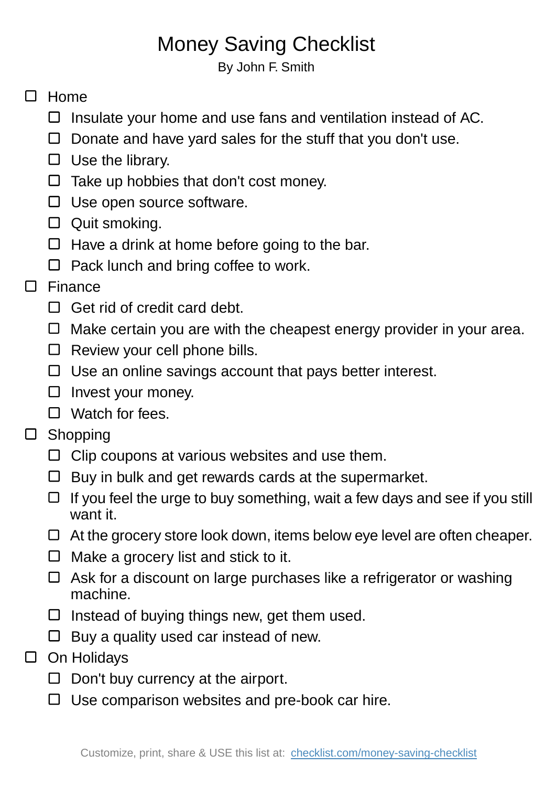## Money Saving Checklist

By John F. Smith

## $\Box$  Home

- $\square$  Insulate your home and use fans and ventilation instead of AC.
- $\Box$  Donate and have yard sales for the stuff that you don't use.
- $\Box$  Use the library.
- $\Box$  Take up hobbies that don't cost money.
- $\Box$  Use open source software.
- □ Quit smoking.
- $\Box$  Have a drink at home before going to the bar.
- $\Box$  Pack lunch and bring coffee to work.

## □ Finance

- $\Box$  Get rid of credit card debt.
- $\Box$  Make certain you are with the cheapest energy provider in your area.
- $\Box$  Review your cell phone bills.
- $\Box$  Use an online savings account that pays better interest.
- $\square$  Invest your money.
- □ Watch for fees.
- □ Shopping
	- $\Box$  Clip coupons at various websites and use them.
	- $\Box$  Buy in bulk and get rewards cards at the supermarket.
	- $\Box$  If you feel the urge to buy something, wait a few days and see if you still want it.
	- $\Box$  At the grocery store look down, items below eye level are often cheaper.
	- $\Box$  Make a grocery list and stick to it.
	- $\Box$  Ask for a discount on large purchases like a refrigerator or washing machine.
	- $\Box$  Instead of buying things new, get them used.
	- $\Box$  Buy a quality used car instead of new.
- □ On Holidays
	- $\Box$  Don't buy currency at the airport.
	- $\Box$  Use comparison websites and pre-book car hire.